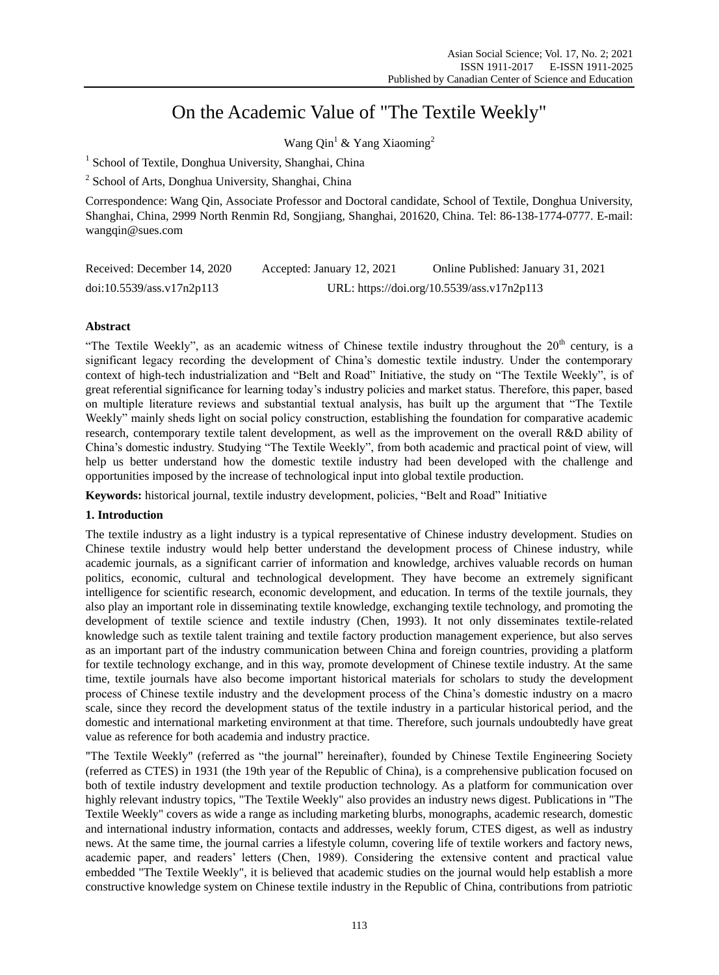# On the Academic Value of "The Textile Weekly"

Wang Qin<sup>1</sup> & Yang Xiaoming<sup>2</sup>

<sup>1</sup> School of Textile, Donghua University, Shanghai, China

<sup>2</sup> School of Arts, Donghua University, Shanghai, China

Correspondence: Wang Qin, Associate Professor and Doctoral candidate, School of Textile, Donghua University, Shanghai, China, 2999 North Renmin Rd, Songjiang, Shanghai, 201620, China. Tel: 86-138-1774-0777. E-mail: wangqin@sues.com

| Received: December 14, 2020 | Accepted: January 12, 2021                 | Online Published: January 31, 2021 |
|-----------------------------|--------------------------------------------|------------------------------------|
| doi:10.5539/ass.v17n2p113   | URL: https://doi.org/10.5539/ass.v17n2p113 |                                    |

# **Abstract**

"The Textile Weekly", as an academic witness of Chinese textile industry throughout the  $20<sup>th</sup>$  century, is a significant legacy recording the development of China's domestic textile industry. Under the contemporary context of high-tech industrialization and "Belt and Road" Initiative, the study on "The Textile Weekly", is of great referential significance for learning today's industry policies and market status. Therefore, this paper, based on multiple literature reviews and substantial textual analysis, has built up the argument that "The Textile Weekly" mainly sheds light on social policy construction, establishing the foundation for comparative academic research, contemporary textile talent development, as well as the improvement on the overall R&D ability of China's domestic industry. Studying "The Textile Weekly", from both academic and practical point of view, will help us better understand how the domestic textile industry had been developed with the challenge and opportunities imposed by the increase of technological input into global textile production.

**Keywords:** historical journal, textile industry development, policies, "Belt and Road" Initiative

# **1. Introduction**

The textile industry as a light industry is a typical representative of Chinese industry development. Studies on Chinese textile industry would help better understand the development process of Chinese industry, while academic journals, as a significant carrier of information and knowledge, archives valuable records on human politics, economic, cultural and technological development. They have become an extremely significant intelligence for scientific research, economic development, and education. In terms of the textile journals, they also play an important role in disseminating textile knowledge, exchanging textile technology, and promoting the development of textile science and textile industry (Chen, 1993). It not only disseminates textile-related knowledge such as textile talent training and textile factory production management experience, but also serves as an important part of the industry communication between China and foreign countries, providing a platform for textile technology exchange, and in this way, promote development of Chinese textile industry. At the same time, textile journals have also become important historical materials for scholars to study the development process of Chinese textile industry and the development process of the China's domestic industry on a macro scale, since they record the development status of the textile industry in a particular historical period, and the domestic and international marketing environment at that time. Therefore, such journals undoubtedly have great value as reference for both academia and industry practice.

"The Textile Weekly" (referred as "the journal" hereinafter), founded by Chinese Textile Engineering Society (referred as CTES) in 1931 (the 19th year of the Republic of China), is a comprehensive publication focused on both of textile industry development and textile production technology. As a platform for communication over highly relevant industry topics, "The Textile Weekly" also provides an industry news digest. Publications in "The Textile Weekly" covers as wide a range as including marketing blurbs, monographs, academic research, domestic and international industry information, contacts and addresses, weekly forum, CTES digest, as well as industry news. At the same time, the journal carries a lifestyle column, covering life of textile workers and factory news, academic paper, and readers' letters (Chen, 1989). Considering the extensive content and practical value embedded "The Textile Weekly", it is believed that academic studies on the journal would help establish a more constructive knowledge system on Chinese textile industry in the Republic of China, contributions from patriotic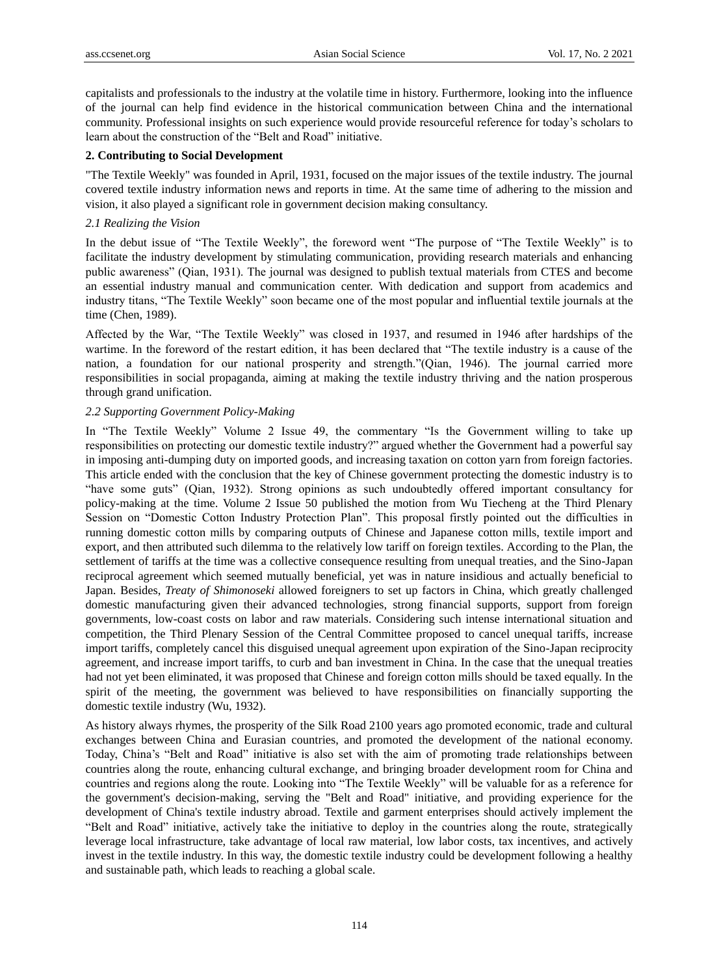capitalists and professionals to the industry at the volatile time in history. Furthermore, looking into the influence of the journal can help find evidence in the historical communication between China and the international community. Professional insights on such experience would provide resourceful reference for today's scholars to learn about the construction of the "Belt and Road" initiative.

### **2. Contributing to Social Development**

"The Textile Weekly" was founded in April, 1931, focused on the major issues of the textile industry. The journal covered textile industry information news and reports in time. At the same time of adhering to the mission and vision, it also played a significant role in government decision making consultancy.

# *2.1 Realizing the Vision*

In the debut issue of "The Textile Weekly", the foreword went "The purpose of "The Textile Weekly" is to facilitate the industry development by stimulating communication, providing research materials and enhancing public awareness" (Qian, 1931). The journal was designed to publish textual materials from CTES and become an essential industry manual and communication center. With dedication and support from academics and industry titans, "The Textile Weekly" soon became one of the most popular and influential textile journals at the time (Chen, 1989).

Affected by the War, "The Textile Weekly" was closed in 1937, and resumed in 1946 after hardships of the wartime. In the foreword of the restart edition, it has been declared that "The textile industry is a cause of the nation, a foundation for our national prosperity and strength."(Qian, 1946). The journal carried more responsibilities in social propaganda, aiming at making the textile industry thriving and the nation prosperous through grand unification.

# *2.2 Supporting Government Policy-Making*

In "The Textile Weekly" Volume 2 Issue 49, the commentary "Is the Government willing to take up responsibilities on protecting our domestic textile industry?" argued whether the Government had a powerful say in imposing anti-dumping duty on imported goods, and increasing taxation on cotton yarn from foreign factories. This article ended with the conclusion that the key of Chinese government protecting the domestic industry is to "have some guts" (Qian, 1932). Strong opinions as such undoubtedly offered important consultancy for policy-making at the time. Volume 2 Issue 50 published the motion from Wu Tiecheng at the Third Plenary Session on "Domestic Cotton Industry Protection Plan". This proposal firstly pointed out the difficulties in running domestic cotton mills by comparing outputs of Chinese and Japanese cotton mills, textile import and export, and then attributed such dilemma to the relatively low tariff on foreign textiles. According to the Plan, the settlement of tariffs at the time was a collective consequence resulting from unequal treaties, and the Sino-Japan reciprocal agreement which seemed mutually beneficial, yet was in nature insidious and actually beneficial to Japan. Besides, *Treaty of Shimonoseki* allowed foreigners to set up factors in China, which greatly challenged domestic manufacturing given their advanced technologies, strong financial supports, support from foreign governments, low-coast costs on labor and raw materials. Considering such intense international situation and competition, the Third Plenary Session of the Central Committee proposed to cancel unequal tariffs, increase import tariffs, completely cancel this disguised unequal agreement upon expiration of the Sino-Japan reciprocity agreement, and increase import tariffs, to curb and ban investment in China. In the case that the unequal treaties had not yet been eliminated, it was proposed that Chinese and foreign cotton mills should be taxed equally. In the spirit of the meeting, the government was believed to have responsibilities on financially supporting the domestic textile industry (Wu, 1932).

As history always rhymes, the prosperity of the Silk Road 2100 years ago promoted economic, trade and cultural exchanges between China and Eurasian countries, and promoted the development of the national economy. Today, China's "Belt and Road" initiative is also set with the aim of promoting trade relationships between countries along the route, enhancing cultural exchange, and bringing broader development room for China and countries and regions along the route. Looking into "The Textile Weekly" will be valuable for as a reference for the government's decision-making, serving the "Belt and Road" initiative, and providing experience for the development of China's textile industry abroad. Textile and garment enterprises should actively implement the "Belt and Road" initiative, actively take the initiative to deploy in the countries along the route, strategically leverage local infrastructure, take advantage of local raw material, low labor costs, tax incentives, and actively invest in the textile industry. In this way, the domestic textile industry could be development following a healthy and sustainable path, which leads to reaching a global scale.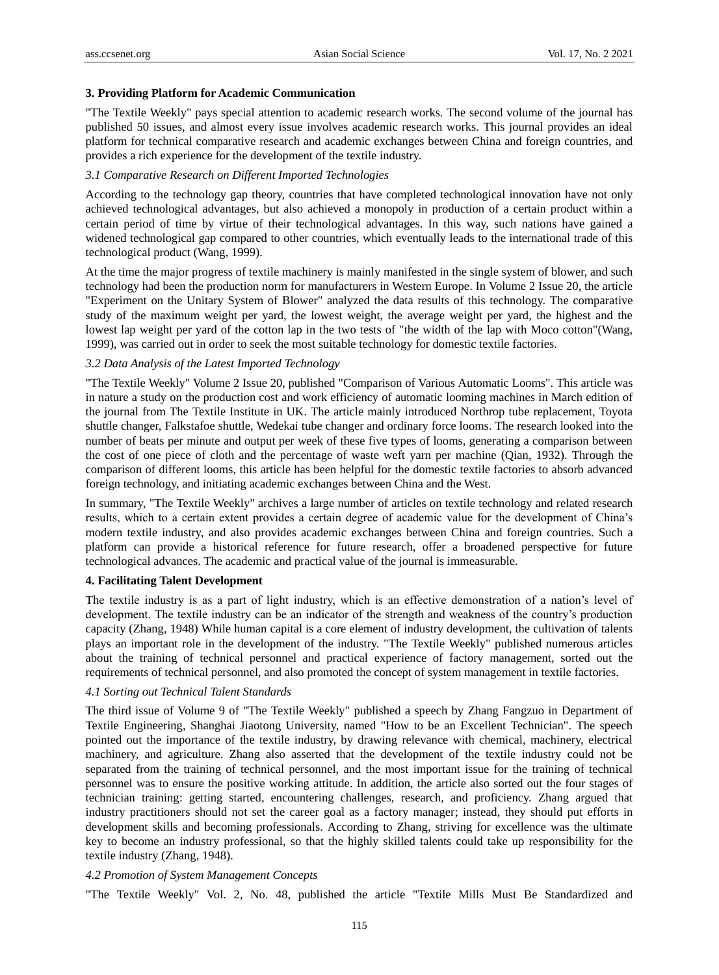#### **3. Providing Platform for Academic Communication**

"The Textile Weekly" pays special attention to academic research works. The second volume of the journal has published 50 issues, and almost every issue involves academic research works. This journal provides an ideal platform for technical comparative research and academic exchanges between China and foreign countries, and provides a rich experience for the development of the textile industry.

#### *3.1 Comparative Research on Different Imported Technologies*

According to the technology gap theory, countries that have completed technological innovation have not only achieved technological advantages, but also achieved a monopoly in production of a certain product within a certain period of time by virtue of their technological advantages. In this way, such nations have gained a widened technological gap compared to other countries, which eventually leads to the international trade of this technological product (Wang, 1999).

At the time the major progress of textile machinery is mainly manifested in the single system of blower, and such technology had been the production norm for manufacturers in Western Europe. In Volume 2 Issue 20, the article "Experiment on the Unitary System of Blower" analyzed the data results of this technology. The comparative study of the maximum weight per yard, the lowest weight, the average weight per yard, the highest and the lowest lap weight per yard of the cotton lap in the two tests of "the width of the lap with Moco cotton"(Wang, 1999), was carried out in order to seek the most suitable technology for domestic textile factories.

#### *3.2 Data Analysis of the Latest Imported Technology*

"The Textile Weekly" Volume 2 Issue 20, published "Comparison of Various Automatic Looms". This article was in nature a study on the production cost and work efficiency of automatic looming machines in March edition of the journal from The Textile Institute in UK. The article mainly introduced Northrop tube replacement, Toyota shuttle changer, Falkstafoe shuttle, Wedekai tube changer and ordinary force looms. The research looked into the number of beats per minute and output per week of these five types of looms, generating a comparison between the cost of one piece of cloth and the percentage of waste weft yarn per machine (Qian, 1932). Through the comparison of different looms, this article has been helpful for the domestic textile factories to absorb advanced foreign technology, and initiating academic exchanges between China and the West.

In summary, "The Textile Weekly" archives a large number of articles on textile technology and related research results, which to a certain extent provides a certain degree of academic value for the development of China's modern textile industry, and also provides academic exchanges between China and foreign countries. Such a platform can provide a historical reference for future research, offer a broadened perspective for future technological advances. The academic and practical value of the journal is immeasurable.

#### **4. Facilitating Talent Development**

The textile industry is as a part of light industry, which is an effective demonstration of a nation's level of development. The textile industry can be an indicator of the strength and weakness of the country's production capacity (Zhang, 1948) While human capital is a core element of industry development, the cultivation of talents plays an important role in the development of the industry. "The Textile Weekly" published numerous articles about the training of technical personnel and practical experience of factory management, sorted out the requirements of technical personnel, and also promoted the concept of system management in textile factories.

### *4.1 Sorting out Technical Talent Standards*

The third issue of Volume 9 of "The Textile Weekly" published a speech by Zhang Fangzuo in Department of Textile Engineering, Shanghai Jiaotong University, named "How to be an Excellent Technician". The speech pointed out the importance of the textile industry, by drawing relevance with chemical, machinery, electrical machinery, and agriculture. Zhang also asserted that the development of the textile industry could not be separated from the training of technical personnel, and the most important issue for the training of technical personnel was to ensure the positive working attitude. In addition, the article also sorted out the four stages of technician training: getting started, encountering challenges, research, and proficiency. Zhang argued that industry practitioners should not set the career goal as a factory manager; instead, they should put efforts in development skills and becoming professionals. According to Zhang, striving for excellence was the ultimate key to become an industry professional, so that the highly skilled talents could take up responsibility for the textile industry (Zhang, 1948).

# *4.2 Promotion of System Management Concepts*

"The Textile Weekly" Vol. 2, No. 48, published the article "Textile Mills Must Be Standardized and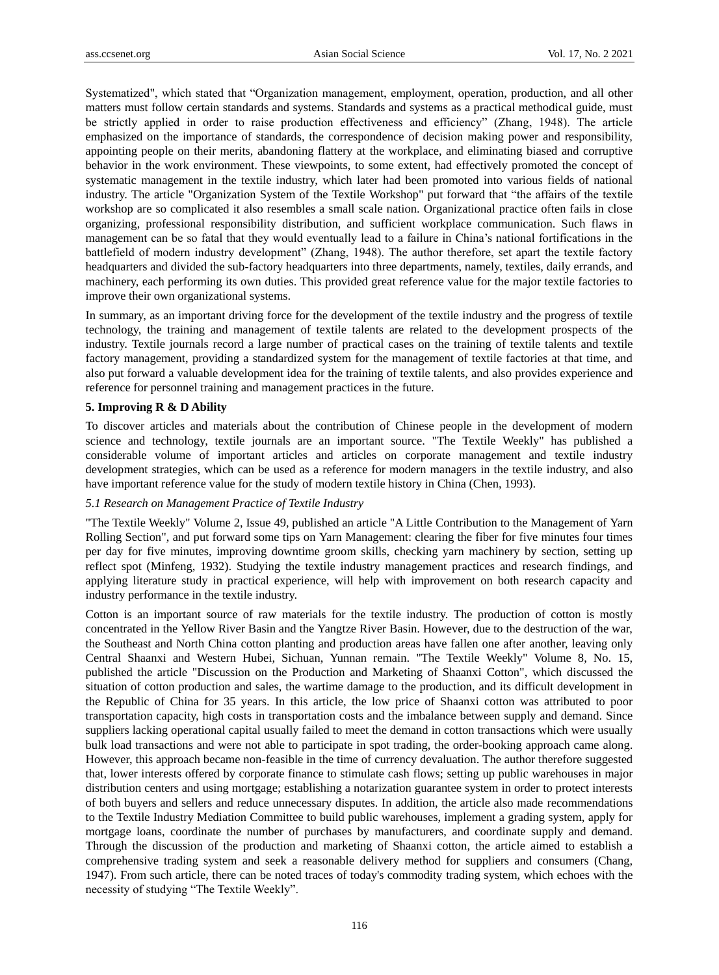Systematized", which stated that "Organization management, employment, operation, production, and all other matters must follow certain standards and systems. Standards and systems as a practical methodical guide, must be strictly applied in order to raise production effectiveness and efficiency" (Zhang, 1948). The article emphasized on the importance of standards, the correspondence of decision making power and responsibility, appointing people on their merits, abandoning flattery at the workplace, and eliminating biased and corruptive behavior in the work environment. These viewpoints, to some extent, had effectively promoted the concept of systematic management in the textile industry, which later had been promoted into various fields of national industry. The article "Organization System of the Textile Workshop" put forward that "the affairs of the textile workshop are so complicated it also resembles a small scale nation. Organizational practice often fails in close organizing, professional responsibility distribution, and sufficient workplace communication. Such flaws in management can be so fatal that they would eventually lead to a failure in China's national fortifications in the battlefield of modern industry development" (Zhang, 1948). The author therefore, set apart the textile factory headquarters and divided the sub-factory headquarters into three departments, namely, textiles, daily errands, and machinery, each performing its own duties. This provided great reference value for the major textile factories to improve their own organizational systems.

In summary, as an important driving force for the development of the textile industry and the progress of textile technology, the training and management of textile talents are related to the development prospects of the industry. Textile journals record a large number of practical cases on the training of textile talents and textile factory management, providing a standardized system for the management of textile factories at that time, and also put forward a valuable development idea for the training of textile talents, and also provides experience and reference for personnel training and management practices in the future.

# **5. Improving R & D Ability**

To discover articles and materials about the contribution of Chinese people in the development of modern science and technology, textile journals are an important source. "The Textile Weekly" has published a considerable volume of important articles and articles on corporate management and textile industry development strategies, which can be used as a reference for modern managers in the textile industry, and also have important reference value for the study of modern textile history in China (Chen, 1993).

## *5.1 Research on Management Practice of Textile Industry*

"The Textile Weekly" Volume 2, Issue 49, published an article "A Little Contribution to the Management of Yarn Rolling Section", and put forward some tips on Yarn Management: clearing the fiber for five minutes four times per day for five minutes, improving downtime groom skills, checking yarn machinery by section, setting up reflect spot (Minfeng, 1932). Studying the textile industry management practices and research findings, and applying literature study in practical experience, will help with improvement on both research capacity and industry performance in the textile industry.

Cotton is an important source of raw materials for the textile industry. The production of cotton is mostly concentrated in the Yellow River Basin and the Yangtze River Basin. However, due to the destruction of the war, the Southeast and North China cotton planting and production areas have fallen one after another, leaving only Central Shaanxi and Western Hubei, Sichuan, Yunnan remain. "The Textile Weekly" Volume 8, No. 15, published the article "Discussion on the Production and Marketing of Shaanxi Cotton", which discussed the situation of cotton production and sales, the wartime damage to the production, and its difficult development in the Republic of China for 35 years. In this article, the low price of Shaanxi cotton was attributed to poor transportation capacity, high costs in transportation costs and the imbalance between supply and demand. Since suppliers lacking operational capital usually failed to meet the demand in cotton transactions which were usually bulk load transactions and were not able to participate in spot trading, the order-booking approach came along. However, this approach became non-feasible in the time of currency devaluation. The author therefore suggested that, lower interests offered by corporate finance to stimulate cash flows; setting up public warehouses in major distribution centers and using mortgage; establishing a notarization guarantee system in order to protect interests of both buyers and sellers and reduce unnecessary disputes. In addition, the article also made recommendations to the Textile Industry Mediation Committee to build public warehouses, implement a grading system, apply for mortgage loans, coordinate the number of purchases by manufacturers, and coordinate supply and demand. Through the discussion of the production and marketing of Shaanxi cotton, the article aimed to establish a comprehensive trading system and seek a reasonable delivery method for suppliers and consumers (Chang, 1947). From such article, there can be noted traces of today's commodity trading system, which echoes with the necessity of studying "The Textile Weekly".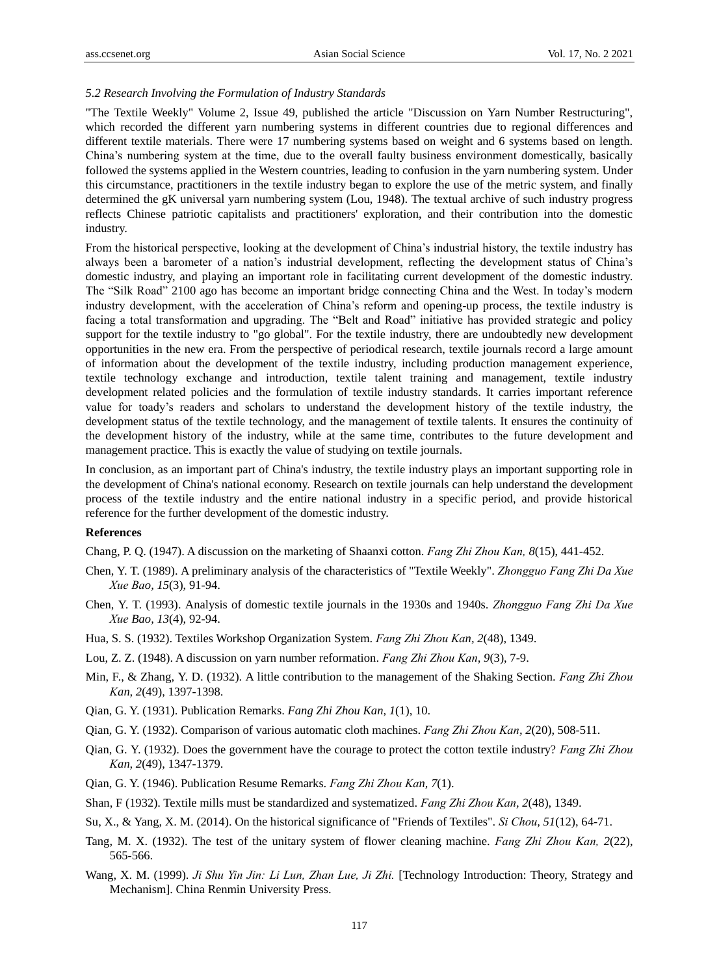# *5.2 Research Involving the Formulation of Industry Standards*

"The Textile Weekly" Volume 2, Issue 49, published the article "Discussion on Yarn Number Restructuring", which recorded the different yarn numbering systems in different countries due to regional differences and different textile materials. There were 17 numbering systems based on weight and 6 systems based on length. China's numbering system at the time, due to the overall faulty business environment domestically, basically followed the systems applied in the Western countries, leading to confusion in the yarn numbering system. Under this circumstance, practitioners in the textile industry began to explore the use of the metric system, and finally determined the gK universal yarn numbering system (Lou, 1948). The textual archive of such industry progress reflects Chinese patriotic capitalists and practitioners' exploration, and their contribution into the domestic industry.

From the historical perspective, looking at the development of China's industrial history, the textile industry has always been a barometer of a nation's industrial development, reflecting the development status of China's domestic industry, and playing an important role in facilitating current development of the domestic industry. The "Silk Road" 2100 ago has become an important bridge connecting China and the West. In today's modern industry development, with the acceleration of China's reform and opening-up process, the textile industry is facing a total transformation and upgrading. The "Belt and Road" initiative has provided strategic and policy support for the textile industry to "go global". For the textile industry, there are undoubtedly new development opportunities in the new era. From the perspective of periodical research, textile journals record a large amount of information about the development of the textile industry, including production management experience, textile technology exchange and introduction, textile talent training and management, textile industry development related policies and the formulation of textile industry standards. It carries important reference value for toady's readers and scholars to understand the development history of the textile industry, the development status of the textile technology, and the management of textile talents. It ensures the continuity of the development history of the industry, while at the same time, contributes to the future development and management practice. This is exactly the value of studying on textile journals.

In conclusion, as an important part of China's industry, the textile industry plays an important supporting role in the development of China's national economy. Research on textile journals can help understand the development process of the textile industry and the entire national industry in a specific period, and provide historical reference for the further development of the domestic industry.

# **References**

Chang, P. Q. (1947). A discussion on the marketing of Shaanxi cotton. *Fang Zhi Zhou Kan, 8*(15), 441-452.

- Chen, Y. T. (1989). A preliminary analysis of the characteristics of "Textile Weekly". *Zhongguo Fang Zhi Da Xue Xue Bao, 15*(3), 91-94.
- Chen, Y. T. (1993). Analysis of domestic textile journals in the 1930s and 1940s. *Zhongguo Fang Zhi Da Xue Xue Bao, 13*(4), 92-94.
- Hua, S. S. (1932). Textiles Workshop Organization System. *Fang Zhi Zhou Kan, 2*(48), 1349.
- Lou, Z. Z. (1948). A discussion on yarn number reformation. *Fang Zhi Zhou Kan, 9*(3), 7-9.
- Min, F., & Zhang, Y. D. (1932). A little contribution to the management of the Shaking Section. *Fang Zhi Zhou Kan, 2*(49), 1397-1398.
- Qian, G. Y. (1931). Publication Remarks. *Fang Zhi Zhou Kan, 1*(1), 10.
- Qian, G. Y. (1932). Comparison of various automatic cloth machines. *Fang Zhi Zhou Kan, 2*(20), 508-511.
- Qian, G. Y. (1932). Does the government have the courage to protect the cotton textile industry? *Fang Zhi Zhou Kan, 2*(49), 1347-1379.
- Qian, G. Y. (1946). Publication Resume Remarks. *Fang Zhi Zhou Kan, 7*(1).
- Shan, F (1932). Textile mills must be standardized and systematized. *Fang Zhi Zhou Kan, 2*(48), 1349.
- Su, X., & Yang, X. M. (2014). On the historical significance of "Friends of Textiles". *Si Chou, 51*(12), 64-71.
- Tang, M. X. (1932). The test of the unitary system of flower cleaning machine. *Fang Zhi Zhou Kan, 2*(22), 565-566.
- Wang, X. M. (1999). *Ji Shu Yin Jin: Li Lun, Zhan Lue, Ji Zhi.* [Technology Introduction: Theory, Strategy and Mechanism]. China Renmin University Press.